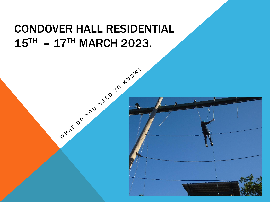## CONDOVER HALL RESIDENTIAL  $15<sup>TH</sup> - 17<sup>TH</sup> MARCH 2023.$

WHAT DO YOU NEED TO KNOW?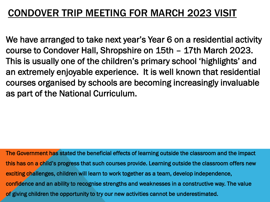### CONDOVER TRIP MEETING FOR MARCH 2023 VISIT

We have arranged to take next year's Year 6 on a residential activity course to Condover Hall, Shropshire on 15th – 17th March 2023. This is usually one of the children's primary school 'highlights' and an extremely enjoyable experience. It is well known that residential courses organised by schools are becoming increasingly invaluable as part of the National Curriculum.

The Government has stated the beneficial effects of learning outside the classroom and the impact this has on a child's progress that such courses provide. Learning outside the classroom offers new exciting challenges, children will learn to work together as a team, develop independence, confidence and an ability to recognise strengths and weaknesses in a constructive way. The value of giving children the opportunity to try our new activities cannot be underestimated.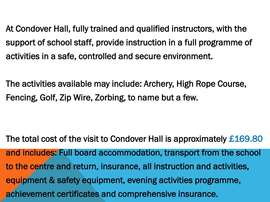At Condover Hall, fully trained and qualified instructors, with the support of school staff, provide instruction in a full programme of activities in a safe, controlled and secure environment.

The activities available may include: Archery, High Rope Course, Fencing, Golf, Zip Wire, Zorbing, to name but a few.

The total cost of the visit to Condover Hall is approximately £169.80 and includes: Full board accommodation, transport from the school to the centre and return, insurance, all instruction and activities, equipment & safety equipment, evening activities programme, achievement certificates and comprehensive insurance.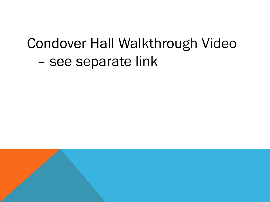# Condover Hall Walkthrough Video – see separate link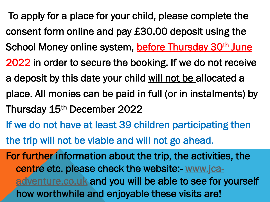- To apply for a place for your child, please complete the consent form online and pay £30.00 deposit using the School Money online system, before Thursday 30<sup>th</sup> June 2022 in order to secure the booking. If we do not receive a deposit by this date your child will not be allocated a place. All monies can be paid in full (or in instalments) by Thursday 15th December 2022
- If we do not have at least 39 children participating then the trip will not be viable and will not go ahead.

For further information about the trip, the activities, the [centre etc. please check the website:-](http://www.jca-adventure.co.uk/) www.jcaadventure.co.uk and you will be able to see for yourself how worthwhile and enjoyable these visits are!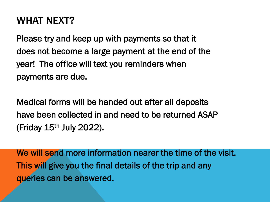### WHAT NEXT?

Please try and keep up with payments so that it does not become a large payment at the end of the year! The office will text you reminders when payments are due.

Medical forms will be handed out after all deposits have been collected in and need to be returned ASAP (Friday  $15<sup>th</sup>$  July 2022).

We will send more information nearer the time of the visit. This will give you the final details of the trip and any queries can be answered.